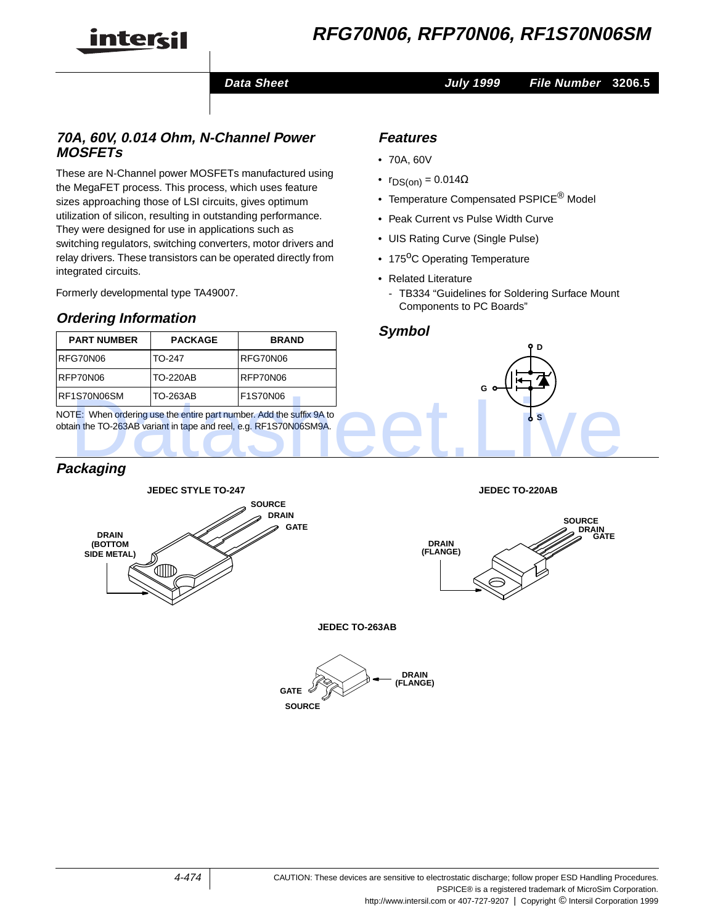

# **RFG70N06, RFP70N06, RF1S70N06SM**

**Data Sheet July 1999 File Number 3206.5**

### **70A, 60V, 0.014 Ohm, N-Channel Power MOSFETs**

These are N-Channel power MOSFETs manufactured using the MegaFET process. This process, which uses feature sizes approaching those of LSI circuits, gives optimum utilization of silicon, resulting in outstanding performance. They were designed for use in applications such as switching regulators, switching converters, motor drivers and relay drivers. These transistors can be operated directly from integrated circuits.

Formerly developmental type TA49007.

# **Ordering Information**

# **PART NUMBER PACKAGE BRAND** RFG70N06 TO-247 RFG70N06 RFP70N06 TO-220AB RFP70N06 RF1S70N06SM TO-263AB F1S70N06

NOTE: When ordering use the entire part number. Add the suffix 9A to obtain the TO-263AB variant in tape and reel, e.g. RF1S70N06SM9A.

# **Packaging**



**Features**

- 70A, 60V
- $r_{DS(on)} = 0.014\Omega$
- Temperature Compensated PSPICE<sup>®</sup> Model
- Peak Current vs Pulse Width Curve
- UIS Rating Curve (Single Pulse)
- 175<sup>o</sup>C Operating Temperature
- Related Literature
	- TB334 "Guidelines for Soldering Surface Mount Components to PC Boards"

### **Symbol**







**JEDEC TO-263AB**

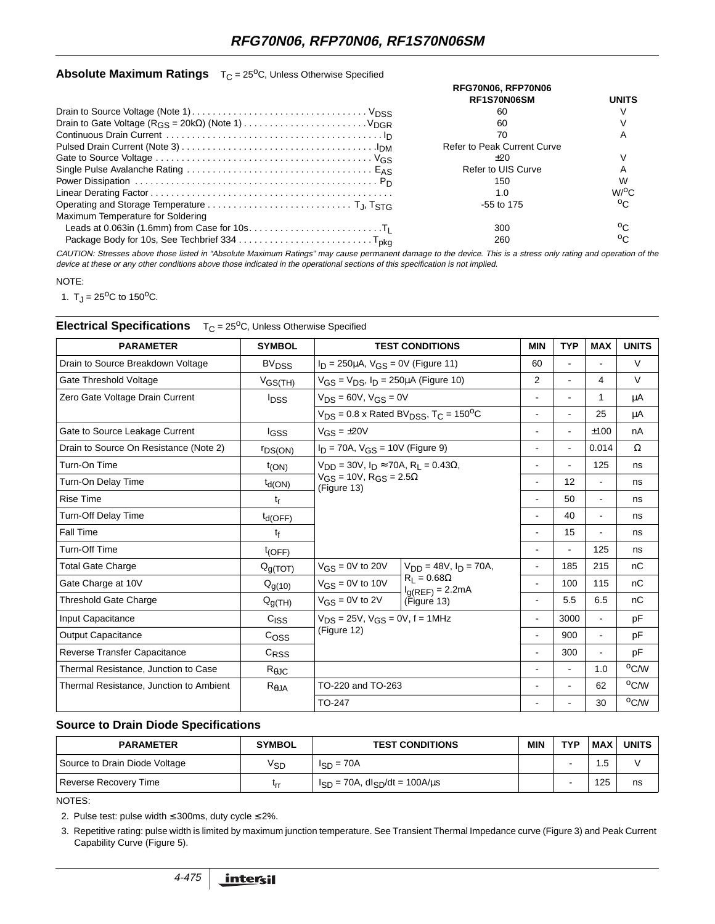### **Absolute Maximum Ratings** T<sub>C</sub> = 25<sup>o</sup>C, Unless Otherwise Specified

|                                   | RFG70N06, RFP70N06<br>RF1S70N06SM  | <b>UNITS</b>        |  |
|-----------------------------------|------------------------------------|---------------------|--|
|                                   |                                    |                     |  |
|                                   | 60                                 |                     |  |
|                                   | 60                                 |                     |  |
|                                   | 70                                 |                     |  |
|                                   | <b>Refer to Peak Current Curve</b> |                     |  |
|                                   | $+20$                              |                     |  |
|                                   | Refer to UIS Curve                 |                     |  |
|                                   | 150                                |                     |  |
|                                   | 1.0                                | $W$ <sup>O</sup> C. |  |
|                                   | $-55$ to 175                       | $\circ$             |  |
| Maximum Temperature for Soldering |                                    |                     |  |
|                                   | 300                                | $\circ$             |  |
|                                   | 260                                | ٥ς.                 |  |

CAUTION: Stresses above those listed in "Absolute Maximum Ratings" may cause permanent damage to the device. This is <sup>a</sup> stress only rating and operation of the device at these or any other conditions above those indicated in the operational sections of this specification is not implied.

#### NOTE:

1.  $T_J = 25^{\circ}C$  to 150<sup>o</sup>C.

### **Electrical Specifications** T<sub>C</sub> = 25<sup>o</sup>C, Unless Otherwise Specified

| <b>PARAMETER</b>                        | <b>SYMBOL</b>           | <b>TEST CONDITIONS</b>                                                                                            |                                                           | <b>MIN</b>               | <b>TYP</b>     | <b>MAX</b>     | <b>UNITS</b>   |
|-----------------------------------------|-------------------------|-------------------------------------------------------------------------------------------------------------------|-----------------------------------------------------------|--------------------------|----------------|----------------|----------------|
| Drain to Source Breakdown Voltage       | <b>BV<sub>DSS</sub></b> | $I_D = 250 \mu A$ , $V_{GS} = 0V$ (Figure 11)                                                                     |                                                           | 60                       |                | $\blacksquare$ | $\vee$         |
| Gate Threshold Voltage                  | $V_{GS(TH)}$            | $V_{GS} = V_{DS}$ , $I_D = 250 \mu A$ (Figure 10)                                                                 |                                                           | $\overline{2}$           |                | 4              | $\vee$         |
| Zero Gate Voltage Drain Current         | <b>I</b> <sub>DSS</sub> | $V_{DS} = 60V$ , $V_{GS} = 0V$<br>$V_{DS}$ = 0.8 x Rated BV <sub>DSS</sub> , T <sub>C</sub> = 150 <sup>o</sup> C  |                                                           | $\blacksquare$           |                | 1              | μA             |
|                                         |                         |                                                                                                                   |                                                           | $\blacksquare$           |                | 25             | μA             |
| Gate to Source Leakage Current          | lgss                    | $V_{GS} = \pm 20V$                                                                                                |                                                           | $\blacksquare$           |                | ±100           | nA             |
| Drain to Source On Resistance (Note 2)  | <b>FDS(ON)</b>          | $I_D = 70A$ , $V_{GS} = 10V$ (Figure 9)                                                                           |                                                           |                          | $\blacksquare$ | 0.014          | Ω              |
| Turn-On Time                            | $t_{(ON)}$              | $V_{DD} = 30V$ , $I_D \approx 70A$ , $R_L = 0.43\Omega$ ,<br>$V_{GS} = 10V$ , $R_{GS} = 2.5\Omega$<br>(Figure 13) |                                                           | $\blacksquare$           |                | 125            | ns             |
| Turn-On Delay Time                      | $t_{d(ON)}$             |                                                                                                                   |                                                           |                          | 12             | ÷.             | ns             |
| <b>Rise Time</b>                        | $t_{r}$                 |                                                                                                                   |                                                           | $\blacksquare$           | 50             | $\blacksquare$ | ns             |
| <b>Turn-Off Delay Time</b>              | $t_{d(OFF)}$            |                                                                                                                   |                                                           |                          | 40             | $\blacksquare$ | ns             |
| Fall Time                               | t <sub>f</sub>          |                                                                                                                   |                                                           |                          | 15             | $\blacksquare$ | ns             |
| <b>Turn-Off Time</b>                    | $t_{(OFF)}$             |                                                                                                                   |                                                           |                          |                | 125            | ns             |
| <b>Total Gate Charge</b>                | $Q_{g(TOT)}$            | $V_{DD} = 48V$ , $I_D = 70A$ ,<br>$V_{GS}$ = 0V to 20V                                                            |                                                           |                          | 185            | 215            | nC             |
| Gate Charge at 10V                      | $Q_{g(10)}$             | $V_{GS} = 0V$ to 10V                                                                                              | $R_1 = 0.68\Omega$<br>$I_{g(REF)} = 2.2mA$<br>(Figure 13) | $\blacksquare$           | 100            | 115            | nC             |
| Threshold Gate Charge                   | $Q_{g(TH)}$             | $V_{GS} = 0V$ to 2V                                                                                               |                                                           | $\blacksquare$           | 5.5            | 6.5            | nC             |
| <b>Input Capacitance</b>                | C <sub>ISS</sub>        | $V_{DS} = 25V$ , $V_{GS} = 0V$ , f = 1MHz<br>(Figure 12)                                                          |                                                           | $\overline{\phantom{a}}$ | 3000           | $\blacksquare$ | pF             |
| <b>Output Capacitance</b>               | C <sub>OSS</sub>        |                                                                                                                   |                                                           |                          | 900            | ÷.             | pF             |
| Reverse Transfer Capacitance            | $C_{RSS}$               |                                                                                                                   |                                                           |                          | 300            | $\blacksquare$ | pF             |
| Thermal Resistance, Junction to Case    | $R_{\theta$ JC          |                                                                                                                   |                                                           |                          |                | 1.0            | °C/W           |
| Thermal Resistance, Junction to Ambient | $R_{\theta,JA}$         | TO-220 and TO-263<br>TO-247                                                                                       |                                                           | $\blacksquare$           |                | 62             | $^{\circ}$ C/W |
|                                         |                         |                                                                                                                   |                                                           |                          |                | 30             | °C/W           |

#### **Source to Drain Diode Specifications**

| <b>PARAMETER</b>              | <b>SYMBOL</b> | <b>TEST CONDITIONS</b>                        | <b>MIN</b> | <b>TYP</b> | <b>MAX</b> | <b>UNITS</b> |
|-------------------------------|---------------|-----------------------------------------------|------------|------------|------------|--------------|
| Source to Drain Diode Voltage | ∨sp           | $I_{SD} = 70A$                                |            |            | .5         |              |
| Reverse Recovery Time         | $r_{rr}$      | $I_{SD}$ = 70A, dl $_{SD}/dt$ = 100A/ $\mu$ s |            |            | 125        | ns           |

NOTES:

2. Pulse test: pulse width  $\leq$  300ms, duty cycle  $\leq$  2%.

3. Repetitive rating: pulse width is limited by maximum junction temperature. See Transient Thermal Impedance curve (Figure 3) and Peak Current Capability Curve (Figure 5).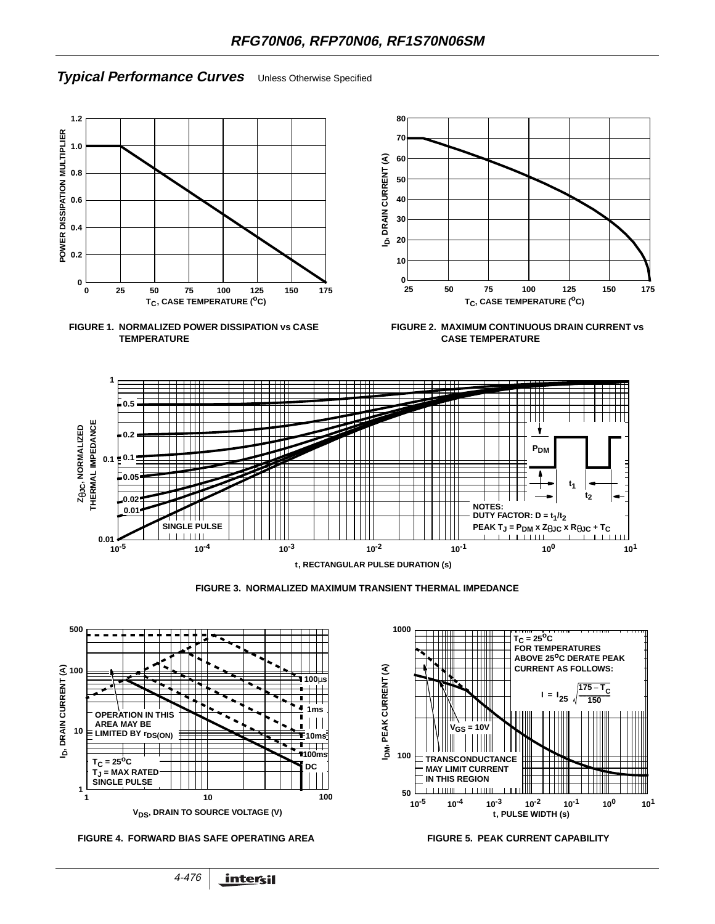# **Typical Performance Curves** Unless Otherwise Specified







**FIGURE 2. MAXIMUM CONTINUOUS DRAIN CURRENT vs CASE TEMPERATURE**









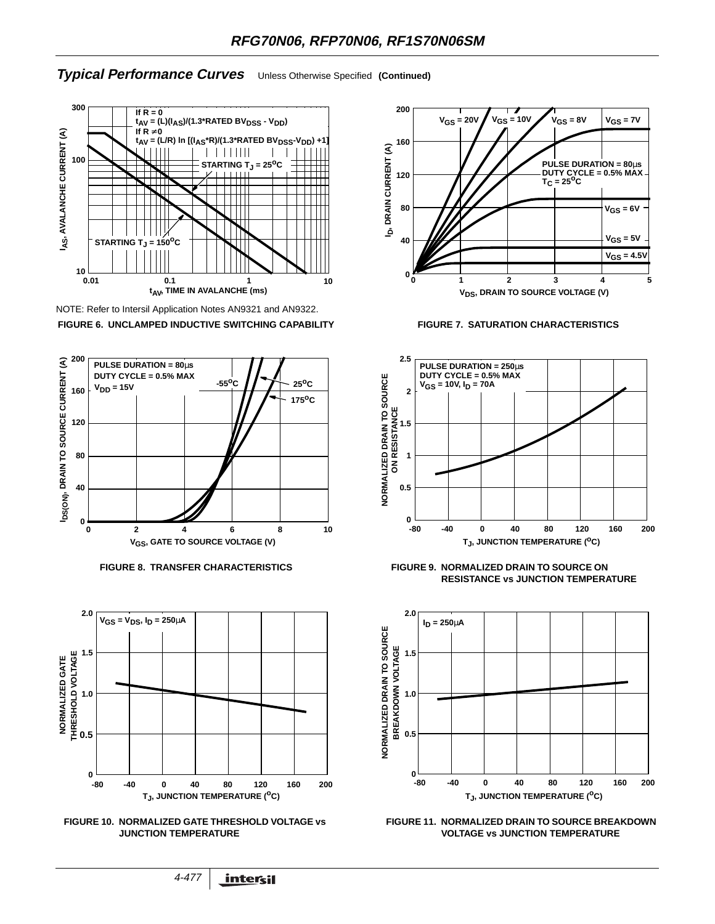#### **Typical Performance Curves** Unless Otherwise Specified **(Continued)**



NOTE: Refer to Intersil Application Notes AN9321 and AN9322. **FIGURE 6. UNCLAMPED INDUCTIVE SWITCHING CAPABILITY FIGURE 7. SATURATION CHARACTERISTICS**





**FIGURE 10. NORMALIZED GATE THRESHOLD VOLTAGE vs JUNCTION TEMPERATURE**







**FIGURE 8. TRANSFER CHARACTERISTICS FIGURE 9. NORMALIZED DRAIN TO SOURCE ON RESISTANCE vs JUNCTION TEMPERATURE**



**FIGURE 11. NORMALIZED DRAIN TO SOURCE BREAKDOWN VOLTAGE vs JUNCTION TEMPERATURE**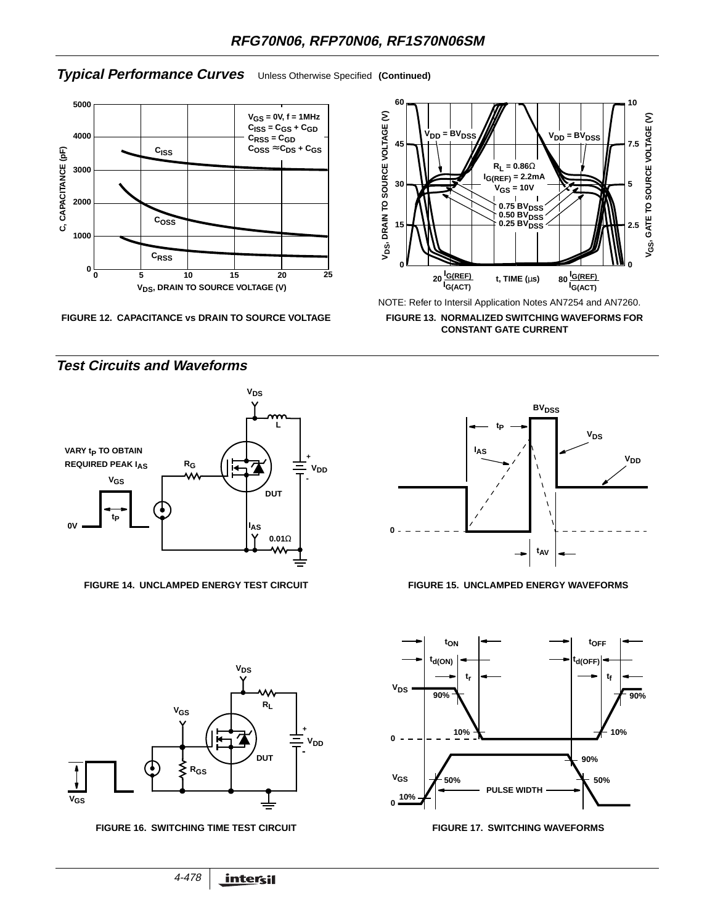# **Typical Performance Curves** Unless Otherwise Specified **(Continued)**



**FIGURE 12. CAPACITANCE vs DRAIN TO SOURCE VOLTAGE**



**FIGURE 13. NORMALIZED SWITCHING WAVEFORMS FOR CONSTANT GATE CURRENT**







**Test Circuits and Waveforms**





FIGURE 16. SWITCHING TIME TEST CIRCUIT **FIGURE 17. SWITCHING WAVEFORMS**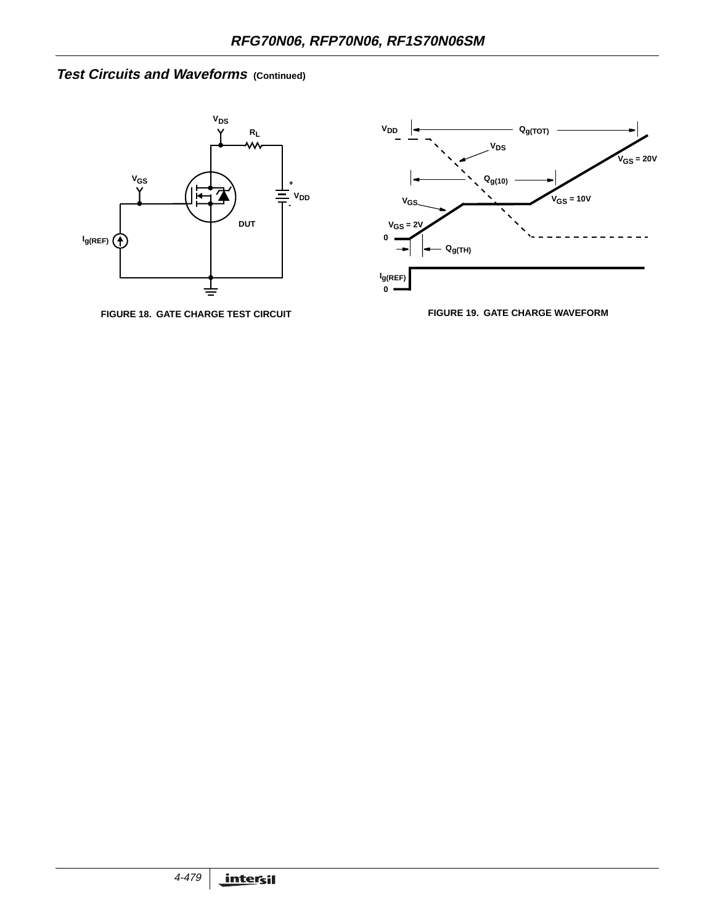# **Test Circuits and Waveforms (Continued)**



**FIGURE 18. GATE CHARGE TEST CIRCUIT FIGURE 19. GATE CHARGE WAVEFORM**

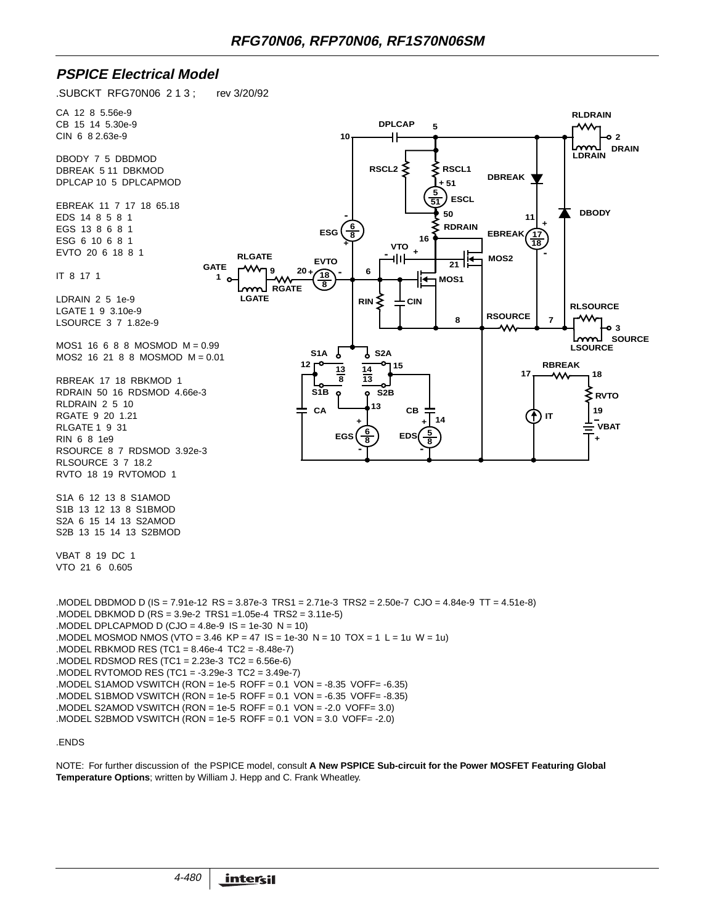### **PSPICE Electrical Model**

.SUBCKT RFG70N06 2 1 3 ; rev 3/20/92



NOTE: For further discussion of the PSPICE model, consult **A New PSPICE Sub-circuit for the Power MOSFET Featuring Global Temperature Options**; written by William J. Hepp and C. Frank Wheatley.